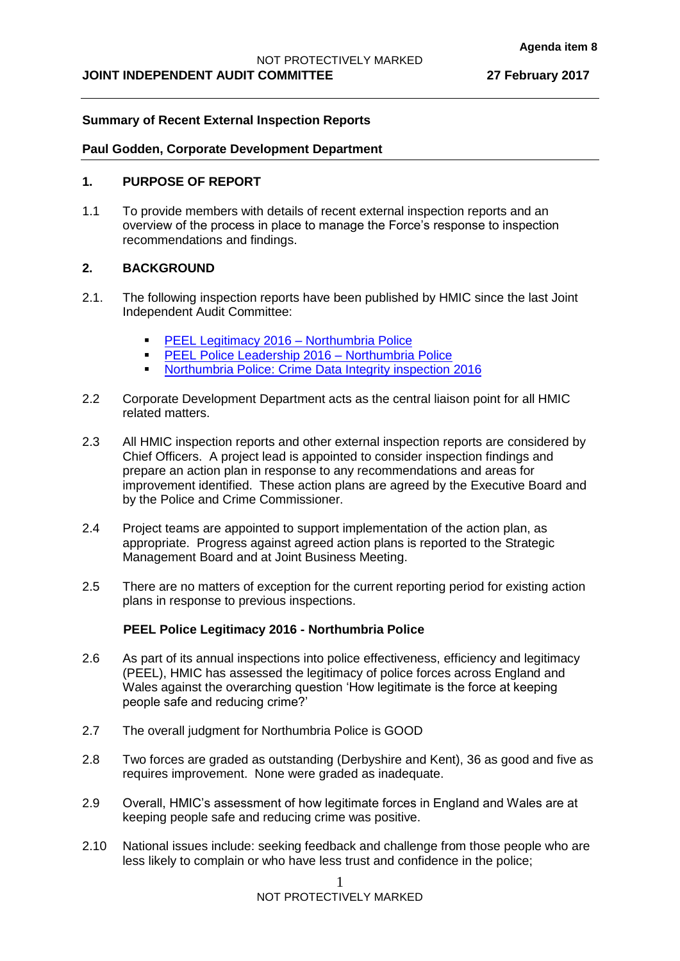## **Summary of Recent External Inspection Reports**

#### **Paul Godden, Corporate Development Department**

## **1. PURPOSE OF REPORT**

1.1 To provide members with details of recent external inspection reports and an overview of the process in place to manage the Force's response to inspection recommendations and findings.

# **2. BACKGROUND**

- 2.1. The following inspection reports have been published by HMIC since the last Joint Independent Audit Committee:
	- **[PEEL Legitimacy 2016 –](http://www.justiceinspectorates.gov.uk/hmic/wp-content/uploads/peel-police-legitimacy-2016-northumbria.pdf) Northumbria Police**
	- **[PEEL Police Leadership 2016 –](http://www.justiceinspectorates.gov.uk/hmic/peel-assessments/peel-2016/northumbria/leadership/) Northumbria Police**
	- **[Northumbria Police: Crime Data Integrity inspection 2016](http://www.justiceinspectorates.gov.uk/hmic/publications/northumbria-crime-data-integrity-inspection-2016/)**
- 2.2 Corporate Development Department acts as the central liaison point for all HMIC related matters.
- 2.3 All HMIC inspection reports and other external inspection reports are considered by Chief Officers. A project lead is appointed to consider inspection findings and prepare an action plan in response to any recommendations and areas for improvement identified. These action plans are agreed by the Executive Board and by the Police and Crime Commissioner.
- 2.4 Project teams are appointed to support implementation of the action plan, as appropriate. Progress against agreed action plans is reported to the Strategic Management Board and at Joint Business Meeting.
- 2.5 There are no matters of exception for the current reporting period for existing action plans in response to previous inspections.

# **PEEL Police Legitimacy 2016 - Northumbria Police**

- 2.6 As part of its annual inspections into police effectiveness, efficiency and legitimacy (PEEL), HMIC has assessed the legitimacy of police forces across England and Wales against the overarching question 'How legitimate is the force at keeping people safe and reducing crime?'
- 2.7 The overall judgment for Northumbria Police is GOOD
- 2.8 Two forces are graded as outstanding (Derbyshire and Kent), 36 as good and five as requires improvement. None were graded as inadequate.
- 2.9 Overall, HMIC's assessment of how legitimate forces in England and Wales are at keeping people safe and reducing crime was positive.
- 2.10 National issues include: seeking feedback and challenge from those people who are less likely to complain or who have less trust and confidence in the police;

NOT PROTECTIVELY MARKED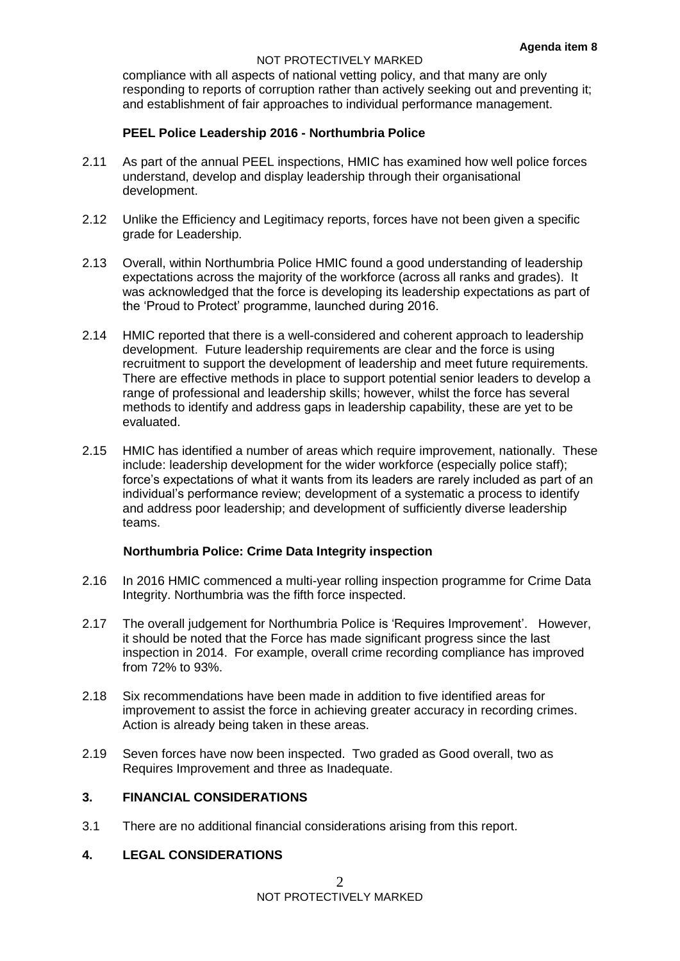#### NOT PROTECTIVELY MARKED

compliance with all aspects of national vetting policy, and that many are only responding to reports of corruption rather than actively seeking out and preventing it; and establishment of fair approaches to individual performance management.

# **PEEL Police Leadership 2016 - Northumbria Police**

- 2.11 As part of the annual PEEL inspections, HMIC has examined how well police forces understand, develop and display leadership through their organisational development.
- 2.12 Unlike the Efficiency and Legitimacy reports, forces have not been given a specific grade for Leadership.
- 2.13 Overall, within Northumbria Police HMIC found a good understanding of leadership expectations across the majority of the workforce (across all ranks and grades). It was acknowledged that the force is developing its leadership expectations as part of the 'Proud to Protect' programme, launched during 2016.
- 2.14 HMIC reported that there is a well-considered and coherent approach to leadership development. Future leadership requirements are clear and the force is using recruitment to support the development of leadership and meet future requirements. There are effective methods in place to support potential senior leaders to develop a range of professional and leadership skills; however, whilst the force has several methods to identify and address gaps in leadership capability, these are yet to be evaluated.
- 2.15 HMIC has identified a number of areas which require improvement, nationally. These include: leadership development for the wider workforce (especially police staff); force's expectations of what it wants from its leaders are rarely included as part of an individual's performance review; development of a systematic a process to identify and address poor leadership; and development of sufficiently diverse leadership teams.

#### **Northumbria Police: Crime Data Integrity inspection**

- 2.16 In 2016 HMIC commenced a multi-year rolling inspection programme for Crime Data Integrity. Northumbria was the fifth force inspected.
- 2.17 The overall judgement for Northumbria Police is 'Requires Improvement'. However, it should be noted that the Force has made significant progress since the last inspection in 2014. For example, overall crime recording compliance has improved from 72% to 93%.
- 2.18 Six recommendations have been made in addition to five identified areas for improvement to assist the force in achieving greater accuracy in recording crimes. Action is already being taken in these areas.
- 2.19 Seven forces have now been inspected. Two graded as Good overall, two as Requires Improvement and three as Inadequate.

# **3. FINANCIAL CONSIDERATIONS**

3.1 There are no additional financial considerations arising from this report.

## **4. LEGAL CONSIDERATIONS**